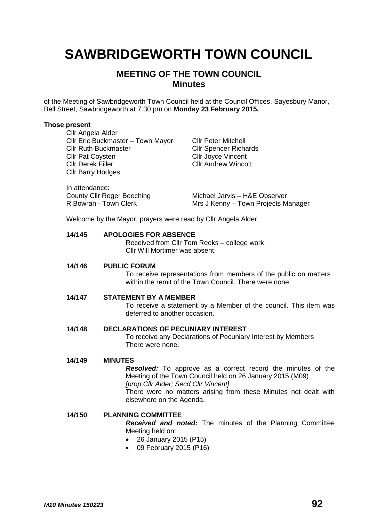# **SAWBRIDGEWORTH TOWN COUNCIL**

# **MEETING OF THE TOWN COUNCIL Minutes**

of the Meeting of Sawbridgeworth Town Council held at the Council Offices, Sayesbury Manor, Bell Street, Sawbridgeworth at 7.30 pm on **Monday 23 February 2015.**

#### **Those present**

Cllr Angela Alder Cllr Eric Buckmaster – Town Mayor Cllr Peter Mitchell Cllr Ruth Buckmaster Cllr Spencer Richards **Cllr Pat Coysten Cllr Joyce Vincent** Cllr Derek Filler Cllr Andrew Wincott Cllr Barry Hodges

| In attendance:             |                                     |
|----------------------------|-------------------------------------|
| County Cllr Roger Beeching | Michael Jarvis - H&E Observer       |
| R Bowran - Town Clerk      | Mrs J Kenny – Town Projects Manager |

Welcome by the Mayor, prayers were read by Cllr Angela Alder

#### **14/145 APOLOGIES FOR ABSENCE**

Received from Cllr Tom Reeks – college work. Cllr Will Mortimer was absent.

#### **14/146 PUBLIC FORUM**

To receive representations from members of the public on matters within the remit of the Town Council. There were none.

#### **14/147 STATEMENT BY A MEMBER**

To receive a statement by a Member of the council. This item was deferred to another occasion.

#### **14/148 DECLARATIONS OF PECUNIARY INTEREST**

To receive any Declarations of Pecuniary Interest by Members There were none.

#### **14/149 MINUTES**

*Resolved:* To approve as a correct record the minutes of the Meeting of the Town Council held on 26 January 2015 (M09) *[prop Cllr Alder; Secd Cllr Vincent]* There were no matters arising from these Minutes not dealt with elsewhere on the Agenda.

## **14/150 PLANNING COMMITTEE** *Received and noted:* The minutes of the Planning Committee Meeting held on:

- 26 January 2015 (P15)
- 09 February 2015 (P16)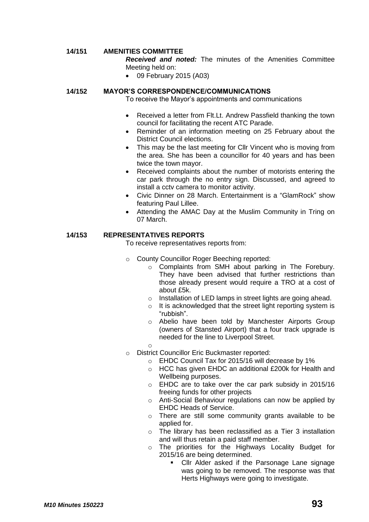#### **14/151 AMENITIES COMMITTEE**

*Received and noted:* The minutes of the Amenities Committee Meeting held on:

09 February 2015 (A03)

#### **14/152 MAYOR'S CORRESPONDENCE/COMMUNICATIONS**

To receive the Mayor's appointments and communications

- Received a letter from Flt.Lt. Andrew Passfield thanking the town council for facilitating the recent ATC Parade.
- Reminder of an information meeting on 25 February about the District Council elections.
- This may be the last meeting for Cllr Vincent who is moving from the area. She has been a councillor for 40 years and has been twice the town mayor.
- Received complaints about the number of motorists entering the car park through the no entry sign. Discussed, and agreed to install a cctv camera to monitor activity.
- Civic Dinner on 28 March. Entertainment is a "GlamRock" show featuring Paul Lillee.
- Attending the AMAC Day at the Muslim Community in Tring on 07 March.

#### **14/153 REPRESENTATIVES REPORTS**

To receive representatives reports from:

- o County Councillor Roger Beeching reported:
	- o Complaints from SMH about parking in The Forebury. They have been advised that further restrictions than those already present would require a TRO at a cost of about £5k.
	- o Installation of LED lamps in street lights are going ahead.
	- o It is acknowledged that the street light reporting system is "rubbish".
	- o Abelio have been told by Manchester Airports Group (owners of Stansted Airport) that a four track upgrade is needed for the line to Liverpool Street.
- o o District Councillor Eric Buckmaster reported:
	- o EHDC Council Tax for 2015/16 will decrease by 1%
	- o HCC has given EHDC an additional £200k for Health and Wellbeing purposes.
	- o EHDC are to take over the car park subsidy in 2015/16 freeing funds for other projects
	- o Anti-Social Behaviour regulations can now be applied by EHDC Heads of Service.
	- o There are still some community grants available to be applied for.
	- o The library has been reclassified as a Tier 3 installation and will thus retain a paid staff member.
	- o The priorities for the Highways Locality Budget for 2015/16 are being determined.
		- Cllr Alder asked if the Parsonage Lane signage was going to be removed. The response was that Herts Highways were going to investigate.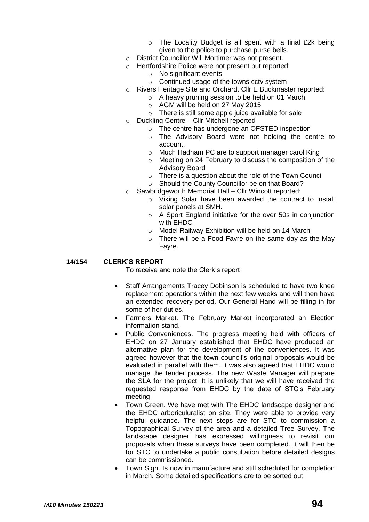- $\circ$  The Locality Budget is all spent with a final £2k being given to the police to purchase purse bells.
- o District Councillor Will Mortimer was not present.
- o Hertfordshire Police were not present but reported:
	- $\circ$  No significant events
	- o Continued usage of the towns cctv system
- o Rivers Heritage Site and Orchard. Cllr E Buckmaster reported:
	- o A heavy pruning session to be held on 01 March
	- o AGM will be held on 27 May 2015
	- $\circ$  There is still some apple juice available for sale
- o Duckling Centre Cllr Mitchell reported
	- o The centre has undergone an OFSTED inspection
	- o The Advisory Board were not holding the centre to account.
	- o Much Hadham PC are to support manager carol King
	- o Meeting on 24 February to discuss the composition of the Advisory Board
	- o There is a question about the role of the Town Council
	- o Should the County Councillor be on that Board?
- o Sawbridgeworth Memorial Hall Cllr Wincott reported:
	- o Viking Solar have been awarded the contract to install solar panels at SMH.
	- o A Sport England initiative for the over 50s in conjunction with EHDC
	- o Model Railway Exhibition will be held on 14 March
	- o There will be a Food Fayre on the same day as the May Fayre.

#### **14/154 CLERK'S REPORT**

To receive and note the Clerk's report

- Staff Arrangements Tracey Dobinson is scheduled to have two knee replacement operations within the next few weeks and will then have an extended recovery period. Our General Hand will be filling in for some of her duties.
- Farmers Market. The February Market incorporated an Election information stand.
- Public Conveniences. The progress meeting held with officers of EHDC on 27 January established that EHDC have produced an alternative plan for the development of the conveniences. It was agreed however that the town council's original proposals would be evaluated in parallel with them. It was also agreed that EHDC would manage the tender process. The new Waste Manager will prepare the SLA for the project. It is unlikely that we will have received the requested response from EHDC by the date of STC's February meeting.
- Town Green. We have met with The EHDC landscape designer and the EHDC arboriculuralist on site. They were able to provide very helpful guidance. The next steps are for STC to commission a Topographical Survey of the area and a detailed Tree Survey. The landscape designer has expressed willingness to revisit our proposals when these surveys have been completed. It will then be for STC to undertake a public consultation before detailed designs can be commissioned.
- Town Sign. Is now in manufacture and still scheduled for completion in March. Some detailed specifications are to be sorted out.